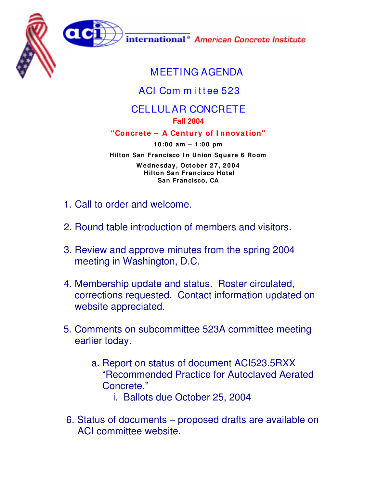



international<sup>®</sup> American Concrete Institute

## MEETING AGENDA

## ACI Com m ittee 523

## CELLULAR CONCRETE **Fall 2004**

## **"Concrete – A Century of I nnovation"**

**1 0 :0 0 am – 1 :0 0 pm Hilton San Francisco I n Union Square 6 Room W ednesday, October 2 7 , 2 0 0 4**

**Hilton San Francisco Hotel San Francisco, CA**

- 1. Call to order and welcome.
- 2. Round table introduction of members and visitors.
- 3. Review and approve minutes from the spring 2004 meeting in Washington, D.C.
- 4. Membership update and status. Roster circulated, corrections requested. Contact information updated on website appreciated.
- 5. Comments on subcommittee 523A committee meeting earlier today.
	- a. Report on status of document ACI523.5RXX "Recommended Practice for Autoclaved Aerated Concrete."
		- i. Ballots due October 25, 2004
- 6. Status of documents proposed drafts are available on ACI committee website.